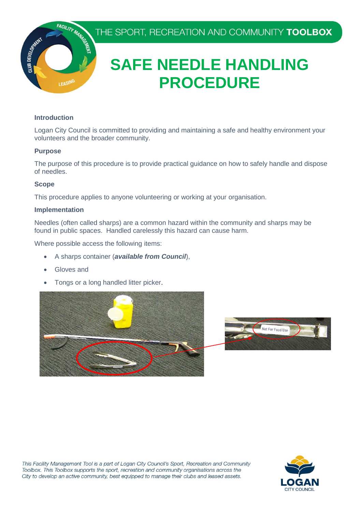THE SPORT, RECREATION AND COMMUNITY TOOLBOX



# **SAFE NEEDLE HANDLING PROCEDURE**

#### **Introduction**

 Logan City Council is committed to providing and maintaining a safe and healthy environment your volunteers and the broader community.

#### **Purpose**

 The purpose of this procedure is to provide practical guidance on how to safely handle and dispose of needles.

### **Scope**

This procedure applies to anyone volunteering or working at your organisation.

### **Implementation**

 Needles (often called sharps) are a common hazard within the community and sharps may be found in public spaces. Handled carelessly this hazard can cause harm.

Where possible access the following items:

- A sharps container (*available from Council*),
- Gloves and
- Tongs or a long handled litter picker.





This Facility Management Tool is a part of Logan City Council's Sport, Recreation and Community Toolbox. This Toolbox supports the sport, recreation and community organisations across the City to develop an active community, best equipped to manage their clubs and leased assets.

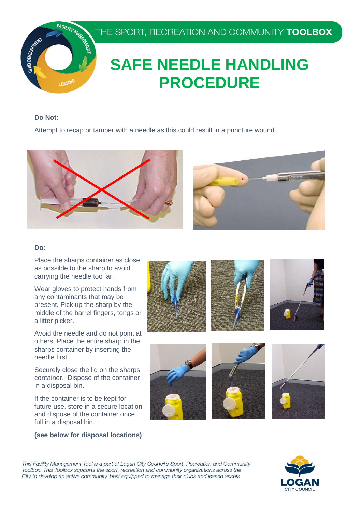

# **SAFE NEEDLE HANDLING PROCEDURE**

#### **Do Not:**

Attempt to recap or tamper with a needle as this could result in a puncture wound.



#### **Do:**

 Place the sharps container as close as possible to the sharp to avoid carrying the needle too far.

 Wear gloves to protect hands from any contaminants that may be present. Pick up the sharp by the middle of the barrel fingers, tongs or a litter picker.

 Avoid the needle and do not point at others. Place the entire sharp in the sharps container by inserting the needle first.

 Securely close the lid on the sharps container. Dispose of the container in a disposal bin.

 If the container is to be kept for future use, store in a secure location and dispose of the container once full in a disposal bin.

#### **(see below for disposal locations)**









This Facility Management Tool is a part of Logan City Council's Sport, Recreation and Community Toolbox. This Toolbox supports the sport, recreation and community organisations across the City to develop an active community, best equipped to manage their clubs and leased assets.

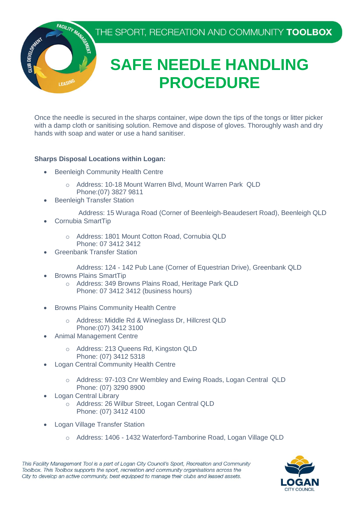THE SPORT, RECREATION AND COMMUNITY TOOLBOX



# **SAFE NEEDLE HANDLING PROCEDURE**

 Once the needle is secured in the sharps container, wipe down the tips of the tongs or litter picker with a damp cloth or sanitising solution. Remove and dispose of gloves. Thoroughly wash and dry hands with soap and water or use a hand sanitiser.

### **Sharps Disposal Locations within Logan:**

- Beenleigh Community Health Centre
	- o Address: 10-18 Mount Warren Blvd, Mount Warren Park QLD
	- Phone:(07) 3827 9811
- Beenleigh Transfer Station
	- Address: 15 Wuraga Road (Corner of Beenleigh-Beaudesert Road), Beenleigh QLD
- Cornubia SmartTip
	- o Address: 1801 Mount Cotton Road, Cornubia QLD Phone: 07 3412 3412
- **•** Greenbank Transfer Station
	- Address: 124 142 Pub Lane (Corner of Equestrian Drive), Greenbank QLD
- Browns Plains SmartTip
	- o Address: 349 Browns Plains Road, Heritage Park QLD Phone: 07 3412 3412 (business hours)
- **•** Browns Plains Community Health Centre
	- o Address: Middle Rd & Wineglass Dr, Hillcrest QLD Phone:(07) 3412 3100
- Animal Management Centre
	- o Address: 213 Queens Rd, Kingston QLD Phone: (07) 3412 5318
- Logan Central Community Health Centre
	- o Address: 97-103 Cnr Wembley and Ewing Roads, Logan Central QLD Phone: (07) 3290 8900
- Logan Central Library
	- o Address: 26 Wilbur Street, Logan Central QLD Phone: (07) 3412 4100
- Logan Village Transfer Station
	- o Address: 1406 1432 Waterford-Tamborine Road, Logan Village QLD